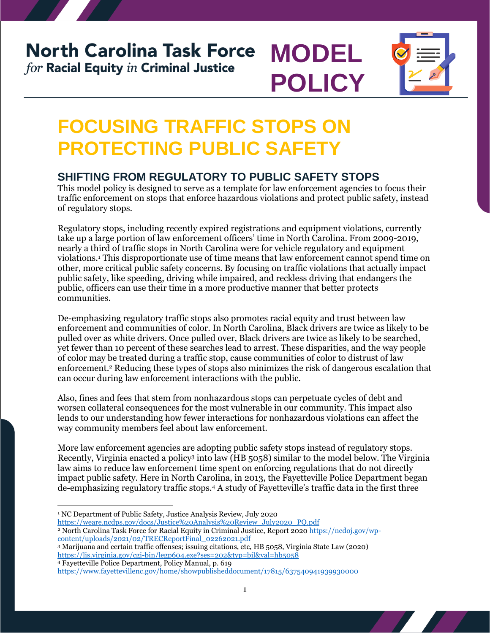#### **North Carolina Task Force MODEL** for Racial Equity in Criminal Justice





## **FOCUSING TRAFFIC STOPS ON PROTECTING PUBLIC SAFETY**

#### **SHIFTING FROM REGULATORY TO PUBLIC SAFETY STOPS**

This model policy is designed to serve as a template for law enforcement agencies to focus their traffic enforcement on stops that enforce hazardous violations and protect public safety, instead of regulatory stops.

Regulatory stops, including recently expired registrations and equipment violations, currently take up a large portion of law enforcement officers' time in North Carolina. From 2009-2019, nearly a third of traffic stops in North Carolina were for vehicle regulatory and equipment violations.<sup>1</sup> This disproportionate use of time means that law enforcement cannot spend time on other, more critical public safety concerns. By focusing on traffic violations that actually impact public safety, like speeding, driving while impaired, and reckless driving that endangers the public, officers can use their time in a more productive manner that better protects communities.

De-emphasizing regulatory traffic stops also promotes racial equity and trust between law enforcement and communities of color. In North Carolina, Black drivers are twice as likely to be pulled over as white drivers. Once pulled over, Black drivers are twice as likely to be searched, yet fewer than 10 percent of these searches lead to arrest. These disparities, and the way people of color may be treated during a traffic stop, cause communities of color to distrust of law enforcement.<sup>2</sup> Reducing these types of stops also minimizes the risk of dangerous escalation that can occur during law enforcement interactions with the public.

Also, fines and fees that stem from nonhazardous stops can perpetuate cycles of debt and worsen collateral consequences for the most vulnerable in our community. This impact also lends to our understanding how fewer interactions for nonhazardous violations can affect the way community members feel about law enforcement.

More law enforcement agencies are adopting public safety stops instead of regulatory stops. Recently, Virginia enacted a policy<sup>3</sup> into law (HB 5058) similar to the model below. The Virginia law aims to reduce law enforcement time spent on enforcing regulations that do not directly impact public safety. Here in North Carolina, in 2013, the Fayetteville Police Department began de-emphasizing regulatory traffic stops.<sup>4</sup> A study of Fayetteville's traffic data in the first three

- $\overline{a}$ <sup>1</sup> NC Department of Public Safety, Justice Analysis Review, July 2020
- [https://weare.ncdps.gov/docs/Justice%20Analysis%20Review\\_July2020\\_PQ.pdf](https://weare.ncdps.gov/docs/Justice%20Analysis%20Review_July2020_PQ.pdf)
- <sup>2</sup> North Carolina Task Force for Racial Equity in Criminal Justice, Report 2020 [https://ncdoj.gov/wp](https://ncdoj.gov/wp-content/uploads/2021/02/TRECReportFinal_02262021.pdf)[content/uploads/2021/02/TRECReportFinal\\_02262021.pdf](https://ncdoj.gov/wp-content/uploads/2021/02/TRECReportFinal_02262021.pdf)
- <sup>3</sup> Marijuana and certain traffic offenses; issuing citations, etc, HB 5058, Virginia State Law (2020) <https://lis.virginia.gov/cgi-bin/legp604.exe?ses=202&typ=bil&val=hb5058> <sup>4</sup> Fayetteville Police Department, Policy Manual, p. 619

<https://www.fayettevillenc.gov/home/showpublisheddocument/17815/637540941939930000>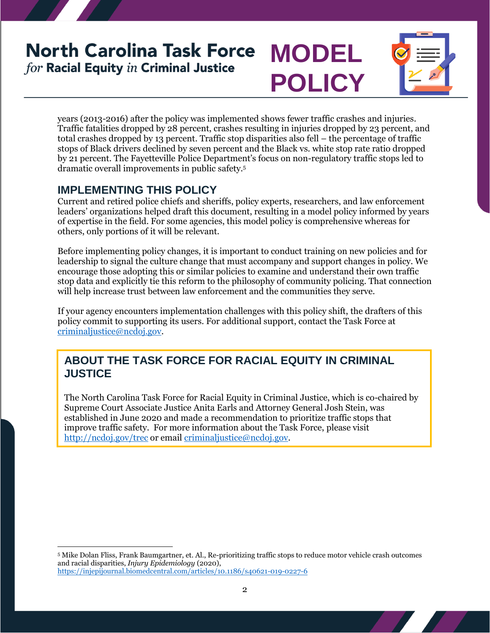### **North Carolina Task Force MODEL** for Racial Equity in Criminal Justice





years (2013-2016) after the policy was implemented shows fewer traffic crashes and injuries. Traffic fatalities dropped by 28 percent, crashes resulting in injuries dropped by 23 percent, and total crashes dropped by 13 percent. Traffic stop disparities also fell – the percentage of traffic stops of Black drivers declined by seven percent and the Black vs. white stop rate ratio dropped by 21 percent. The Fayetteville Police Department's focus on non-regulatory traffic stops led to dramatic overall improvements in public safety.<sup>5</sup>

#### **IMPLEMENTING THIS POLICY**

Current and retired police chiefs and sheriffs, policy experts, researchers, and law enforcement leaders' organizations helped draft this document, resulting in a model policy informed by years of expertise in the field. For some agencies, this model policy is comprehensive whereas for others, only portions of it will be relevant.

Before implementing policy changes, it is important to conduct training on new policies and for leadership to signal the culture change that must accompany and support changes in policy. We encourage those adopting this or similar policies to examine and understand their own traffic stop data and explicitly tie this reform to the philosophy of community policing. That connection will help increase trust between law enforcement and the communities they serve.

If your agency encounters implementation challenges with this policy shift, the drafters of this policy commit to supporting its users. For additional support, contact the Task Force at [criminaljustice@ncdoj.gov.](mailto:criminaljustice@ncdoj.gov)

#### **ABOUT THE TASK FORCE FOR RACIAL EQUITY IN CRIMINAL JUSTICE**

The North Carolina Task Force for Racial Equity in Criminal Justice, which is co-chaired by Supreme Court Associate Justice Anita Earls and Attorney General Josh Stein, was established in June 2020 and made a recommendation to prioritize traffic stops that improve traffic safety. For more information about the Task Force, please visit <http://ncdoj.gov/trec> or email [criminaljustice@ncdoj.gov.](mailto:criminaljustice@ncdoj.gov)

 $\overline{a}$ <sup>5</sup> Mike Dolan Fliss, Frank Baumgartner, et. Al., Re-prioritizing traffic stops to reduce motor vehicle crash outcomes and racial disparities, *Injury Epidemiology* (2020), <https://injepijournal.biomedcentral.com/articles/10.1186/s40621-019-0227-6>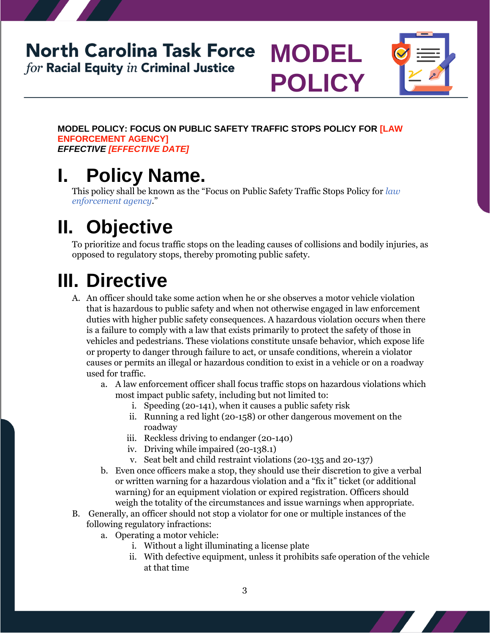### **North Carolina Task Force MODEL**  $for$  Racial Equity  $in$  Criminal Justice



**MODEL POLICY: FOCUS ON PUBLIC SAFETY TRAFFIC STOPS POLICY FOR [LAW ENFORCEMENT AGENCY]** *EFFECTIVE [EFFECTIVE DATE]*

**POLICY**

### **I. Policy Name.**

This policy shall be known as the "Focus on Public Safety Traffic Stops Policy for *law enforcement agency*."

# **II. Objective**

To prioritize and focus traffic stops on the leading causes of collisions and bodily injuries, as opposed to regulatory stops, thereby promoting public safety.

# **III. Directive**

- A. An officer should take some action when he or she observes a motor vehicle violation that is hazardous to public safety and when not otherwise engaged in law enforcement duties with higher public safety consequences. A hazardous violation occurs when there is a failure to comply with a law that exists primarily to protect the safety of those in vehicles and pedestrians. These violations constitute unsafe behavior, which expose life or property to danger through failure to act, or unsafe conditions, wherein a violator causes or permits an illegal or hazardous condition to exist in a vehicle or on a roadway used for traffic.
	- a. A law enforcement officer shall focus traffic stops on hazardous violations which most impact public safety, including but not limited to:
		- i. Speeding (20-141), when it causes a public safety risk
		- ii. Running a red light (20-158) or other dangerous movement on the roadway
		- iii. Reckless driving to endanger (20-140)
		- iv. Driving while impaired (20-138.1)
		- v. Seat belt and child restraint violations (20-135 and 20-137)
	- b. Even once officers make a stop, they should use their discretion to give a verbal or written warning for a hazardous violation and a "fix it" ticket (or additional warning) for an equipment violation or expired registration. Officers should weigh the totality of the circumstances and issue warnings when appropriate.
- B. Generally, an officer should not stop a violator for one or multiple instances of the following regulatory infractions:
	- a. Operating a motor vehicle:
		- i. Without a light illuminating a license plate
		- ii. With defective equipment, unless it prohibits safe operation of the vehicle at that time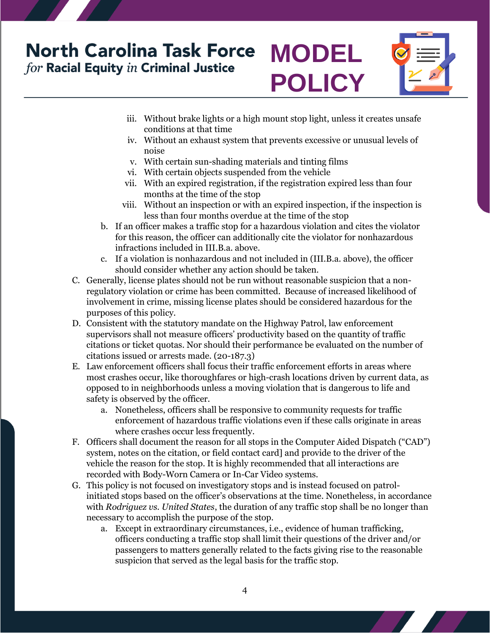### **North Carolina Task Force** for Racial Equity in Criminal Justice





- iii. Without brake lights or a high mount stop light, unless it creates unsafe conditions at that time
- iv. Without an exhaust system that prevents excessive or unusual levels of noise
- v. With certain sun-shading materials and tinting films
- vi. With certain objects suspended from the vehicle
- vii. With an expired registration, if the registration expired less than four months at the time of the stop
- viii. Without an inspection or with an expired inspection, if the inspection is less than four months overdue at the time of the stop
- b. If an officer makes a traffic stop for a hazardous violation and cites the violator for this reason, the officer can additionally cite the violator for nonhazardous infractions included in III.B.a. above.
- c. If a violation is nonhazardous and not included in (III.B.a. above), the officer should consider whether any action should be taken.
- C. Generally, license plates should not be run without reasonable suspicion that a nonregulatory violation or crime has been committed. Because of increased likelihood of involvement in crime, missing license plates should be considered hazardous for the purposes of this policy.
- D. Consistent with the statutory mandate on the Highway Patrol, law enforcement supervisors shall not measure officers' productivity based on the quantity of traffic citations or ticket quotas. Nor should their performance be evaluated on the number of citations issued or arrests made. (20-187.3)
- E. Law enforcement officers shall focus their traffic enforcement efforts in areas where most crashes occur, like thoroughfares or high-crash locations driven by current data, as opposed to in neighborhoods unless a moving violation that is dangerous to life and safety is observed by the officer.
	- a. Nonetheless, officers shall be responsive to community requests for traffic enforcement of hazardous traffic violations even if these calls originate in areas where crashes occur less frequently.
- F. Officers shall document the reason for all stops in the Computer Aided Dispatch ("CAD") system, notes on the citation, or field contact card] and provide to the driver of the vehicle the reason for the stop. It is highly recommended that all interactions are recorded with Body-Worn Camera or In-Car Video systems.
- G. This policy is not focused on investigatory stops and is instead focused on patrolinitiated stops based on the officer's observations at the time. Nonetheless, in accordance with *Rodriguez vs. United States*, the duration of any traffic stop shall be no longer than necessary to accomplish the purpose of the stop.
	- a. Except in extraordinary circumstances, i.e., evidence of human trafficking, officers conducting a traffic stop shall limit their questions of the driver and/or passengers to matters generally related to the facts giving rise to the reasonable suspicion that served as the legal basis for the traffic stop.